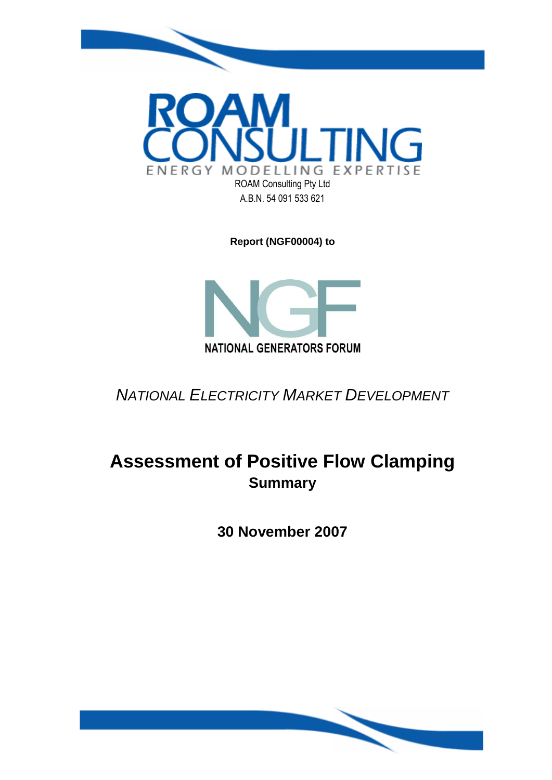

**Report (NGF00004) to**



*NATIONAL ELECTRICITY MARKET DEVELOPMENT*

# **Assessment of Positive Flow Clamping Summary**

**30 November 2007**

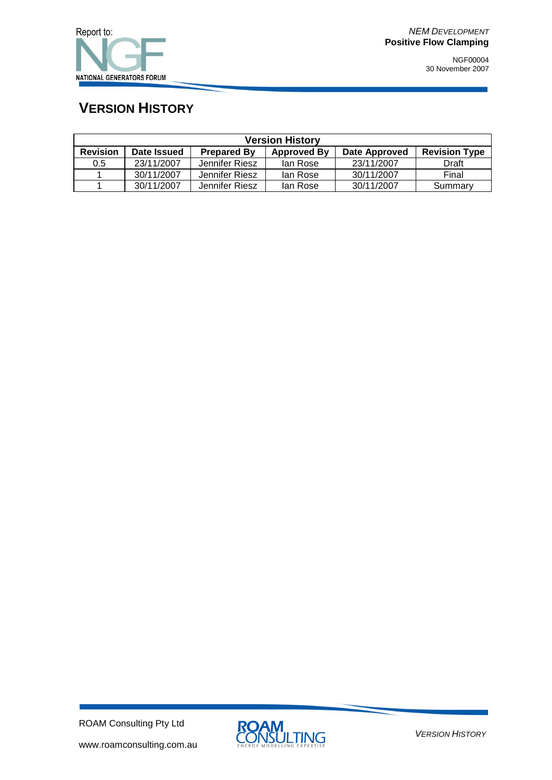

## **VERSION HISTORY**

| <b>Version History</b> |             |                    |                    |                      |                      |  |
|------------------------|-------------|--------------------|--------------------|----------------------|----------------------|--|
| <b>Revision</b>        | Date Issued | <b>Prepared By</b> | <b>Approved By</b> | <b>Date Approved</b> | <b>Revision Type</b> |  |
| 0.5                    | 23/11/2007  | Jennifer Riesz     | lan Rose           | 23/11/2007           | Draft                |  |
|                        | 30/11/2007  | Jennifer Riesz     | lan Rose           | 30/11/2007           | Final                |  |
|                        | 30/11/2007  | Jennifer Riesz     | lan Rose           | 30/11/2007           | Summary              |  |

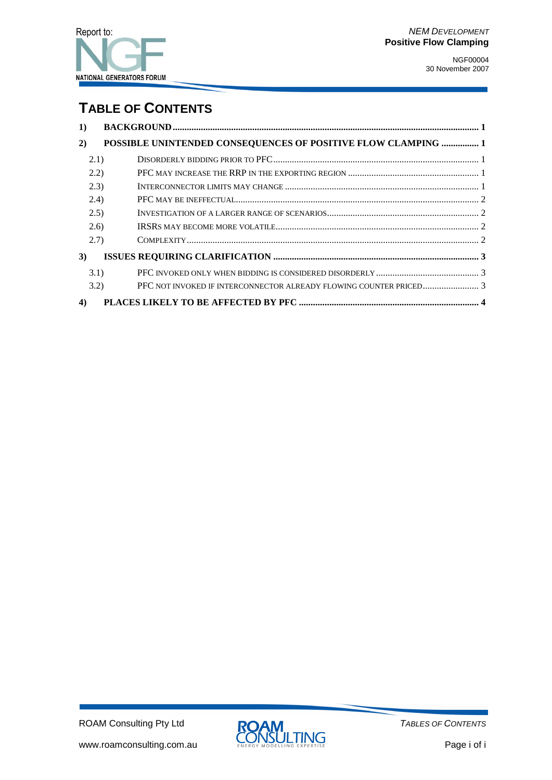#### **TABLE OF CONTENTS**

| $\bf{1)}$ |                                                               |
|-----------|---------------------------------------------------------------|
| 2)        | POSSIBLE UNINTENDED CONSEQUENCES OF POSITIVE FLOW CLAMPING  1 |
| 2.1)      |                                                               |
| (2.2)     |                                                               |
| (2.3)     |                                                               |
| (2.4)     |                                                               |
| (2.5)     |                                                               |
| (2.6)     |                                                               |
| (2.7)     |                                                               |
| 3)        |                                                               |
| 3.1)      |                                                               |
| 3.2)      |                                                               |
| 4)        |                                                               |

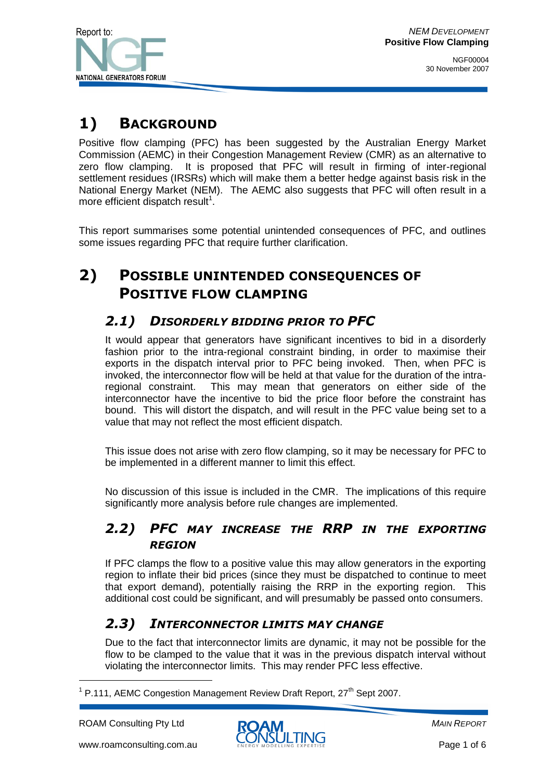

## **1) BACKGROUND**

Positive flow clamping (PFC) has been suggested by the Australian Energy Market Commission (AEMC) in their Congestion Management Review (CMR) as an alternative to zero flow clamping. It is proposed that PFC will result in firming of inter-regional settlement residues (IRSRs) which will make them a better hedge against basis risk in the National Energy Market (NEM). The AEMC also suggests that PFC will often result in a more efficient dispatch result<sup>1</sup>.

This report summarises some potential unintended consequences of PFC, and outlines some issues regarding PFC that require further clarification.

## **2) POSSIBLE UNINTENDED CONSEQUENCES OF POSITIVE FLOW CLAMPING**

#### *2.1) DISORDERLY BIDDING PRIOR TO PFC*

It would appear that generators have significant incentives to bid in a disorderly fashion prior to the intra-regional constraint binding, in order to maximise their exports in the dispatch interval prior to PFC being invoked. Then, when PFC is invoked, the interconnector flow will be held at that value for the duration of the intraregional constraint. This may mean that generators on either side of the interconnector have the incentive to bid the price floor before the constraint has bound. This will distort the dispatch, and will result in the PFC value being set to a value that may not reflect the most efficient dispatch.

This issue does not arise with zero flow clamping, so it may be necessary for PFC to be implemented in a different manner to limit this effect.

No discussion of this issue is included in the CMR. The implications of this require significantly more analysis before rule changes are implemented.

#### *2.2) PFC MAY INCREASE THE RRP IN THE EXPORTING REGION*

If PFC clamps the flow to a positive value this may allow generators in the exporting region to inflate their bid prices (since they must be dispatched to continue to meet that export demand), potentially raising the RRP in the exporting region. This additional cost could be significant, and will presumably be passed onto consumers.

#### *2.3) INTERCONNECTOR LIMITS MAY CHANGE*

Due to the fact that interconnector limits are dynamic, it may not be possible for the flow to be clamped to the value that it was in the previous dispatch interval without violating the interconnector limits. This may render PFC less effective.

-



<sup>&</sup>lt;sup>1</sup> P.111, AEMC Congestion Management Review Draft Report, 27<sup>th</sup> Sept 2007.

ROAM Consulting Pty Ltd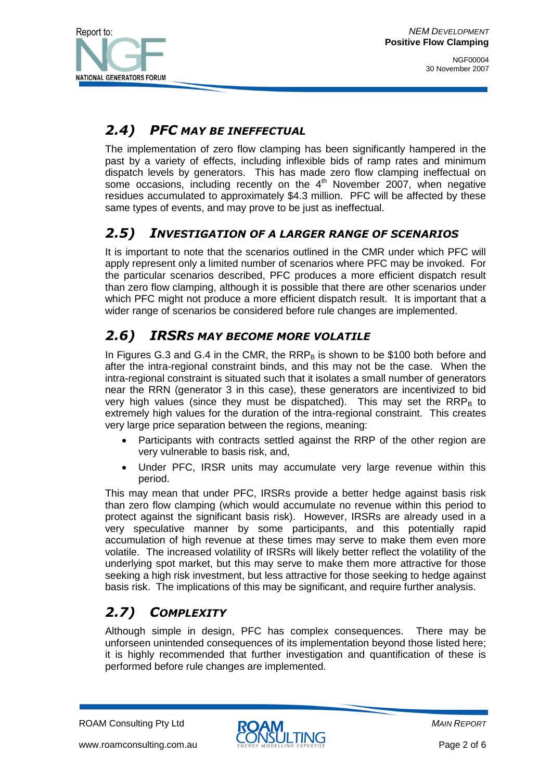

#### *2.4) PFC MAY BE INEFFECTUAL*

The implementation of zero flow clamping has been significantly hampered in the past by a variety of effects, including inflexible bids of ramp rates and minimum dispatch levels by generators. This has made zero flow clamping ineffectual on some occasions, including recently on the  $4<sup>th</sup>$  November 2007, when negative residues accumulated to approximately \$4.3 million. PFC will be affected by these same types of events, and may prove to be just as ineffectual.

#### *2.5) INVESTIGATION OF A LARGER RANGE OF SCENARIOS*

It is important to note that the scenarios outlined in the CMR under which PFC will apply represent only a limited number of scenarios where PFC may be invoked. For the particular scenarios described, PFC produces a more efficient dispatch result than zero flow clamping, although it is possible that there are other scenarios under which PFC might not produce a more efficient dispatch result. It is important that a wider range of scenarios be considered before rule changes are implemented.

#### *2.6) IRSRS MAY BECOME MORE VOLATILE*

In Figures G.3 and G.4 in the CMR, the  $RRP<sub>B</sub>$  is shown to be \$100 both before and after the intra-regional constraint binds, and this may not be the case. When the intra-regional constraint is situated such that it isolates a small number of generators near the RRN (generator 3 in this case), these generators are incentivized to bid very high values (since they must be dispatched). This may set the  $\mathrm{RRP}_\mathrm{B}$  to extremely high values for the duration of the intra-regional constraint. This creates very large price separation between the regions, meaning:

- Participants with contracts settled against the RRP of the other region are very vulnerable to basis risk, and,
- Under PFC, IRSR units may accumulate very large revenue within this period.

This may mean that under PFC, IRSRs provide a better hedge against basis risk than zero flow clamping (which would accumulate no revenue within this period to protect against the significant basis risk). However, IRSRs are already used in a very speculative manner by some participants, and this potentially rapid accumulation of high revenue at these times may serve to make them even more volatile. The increased volatility of IRSRs will likely better reflect the volatility of the underlying spot market, but this may serve to make them more attractive for those seeking a high risk investment, but less attractive for those seeking to hedge against basis risk. The implications of this may be significant, and require further analysis.

## *2.7) COMPLEXITY*

Although simple in design, PFC has complex consequences. There may be unforseen unintended consequences of its implementation beyond those listed here; it is highly recommended that further investigation and quantification of these is performed before rule changes are implemented.

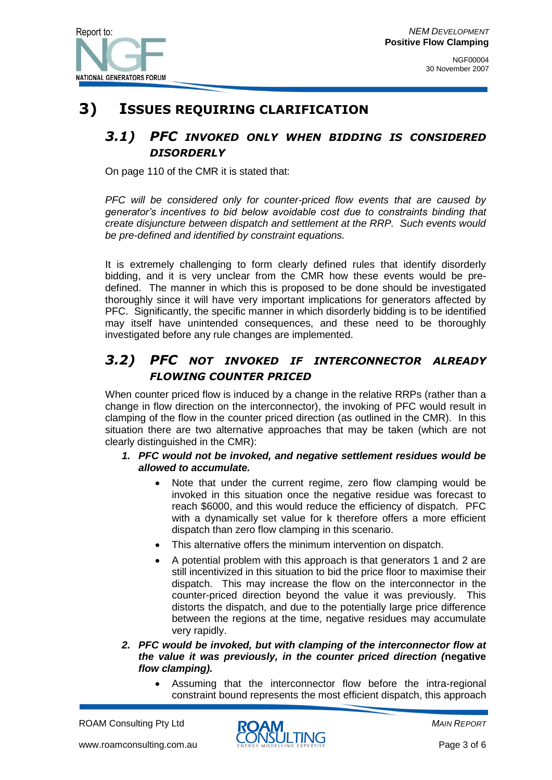

NGF00004 30 November 2007

### **3) ISSUES REQUIRING CLARIFICATION**

#### *3.1) PFC INVOKED ONLY WHEN BIDDING IS CONSIDERED DISORDERLY*

On page 110 of the CMR it is stated that:

*PFC will be considered only for counter-priced flow events that are caused by generator's incentives to bid below avoidable cost due to constraints binding that create disjuncture between dispatch and settlement at the RRP. Such events would be pre-defined and identified by constraint equations.*

It is extremely challenging to form clearly defined rules that identify disorderly bidding, and it is very unclear from the CMR how these events would be predefined. The manner in which this is proposed to be done should be investigated thoroughly since it will have very important implications for generators affected by PFC. Significantly, the specific manner in which disorderly bidding is to be identified may itself have unintended consequences, and these need to be thoroughly investigated before any rule changes are implemented.

#### *3.2) PFC NOT INVOKED IF INTERCONNECTOR ALREADY FLOWING COUNTER PRICED*

When counter priced flow is induced by a change in the relative RRPs (rather than a change in flow direction on the interconnector), the invoking of PFC would result in clamping of the flow in the counter priced direction (as outlined in the CMR). In this situation there are two alternative approaches that may be taken (which are not clearly distinguished in the CMR):

- *1. PFC would not be invoked, and negative settlement residues would be allowed to accumulate.* 
	- Note that under the current regime, zero flow clamping would be invoked in this situation once the negative residue was forecast to reach \$6000, and this would reduce the efficiency of dispatch. PFC with a dynamically set value for k therefore offers a more efficient dispatch than zero flow clamping in this scenario.
	- This alternative offers the minimum intervention on dispatch.
	- A potential problem with this approach is that generators 1 and 2 are still incentivized in this situation to bid the price floor to maximise their dispatch. This may increase the flow on the interconnector in the counter-priced direction beyond the value it was previously. This distorts the dispatch, and due to the potentially large price difference between the regions at the time, negative residues may accumulate very rapidly.
- *2. PFC would be invoked, but with clamping of the interconnector flow at the value it was previously, in the counter priced direction (***negative** *flow clamping).* 
	- Assuming that the interconnector flow before the intra-regional constraint bound represents the most efficient dispatch, this approach

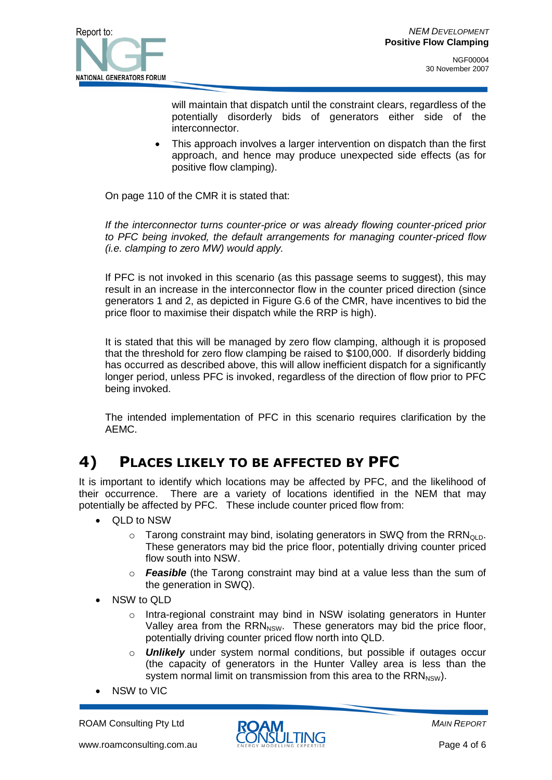

will maintain that dispatch until the constraint clears, regardless of the potentially disorderly bids of generators either side of the interconnector.

 This approach involves a larger intervention on dispatch than the first approach, and hence may produce unexpected side effects (as for positive flow clamping).

On page 110 of the CMR it is stated that:

*If the interconnector turns counter-price or was already flowing counter-priced prior to PFC being invoked, the default arrangements for managing counter-priced flow (i.e. clamping to zero MW) would apply.*

If PFC is not invoked in this scenario (as this passage seems to suggest), this may result in an increase in the interconnector flow in the counter priced direction (since generators 1 and 2, as depicted in Figure G.6 of the CMR, have incentives to bid the price floor to maximise their dispatch while the RRP is high).

It is stated that this will be managed by zero flow clamping, although it is proposed that the threshold for zero flow clamping be raised to \$100,000. If disorderly bidding has occurred as described above, this will allow inefficient dispatch for a significantly longer period, unless PFC is invoked, regardless of the direction of flow prior to PFC being invoked.

The intended implementation of PFC in this scenario requires clarification by the AEMC.

## **4) PLACES LIKELY TO BE AFFECTED BY PFC**

It is important to identify which locations may be affected by PFC, and the likelihood of their occurrence. There are a variety of locations identified in the NEM that may potentially be affected by PFC. These include counter priced flow from:

- QLD to NSW
	- $\circ$  Tarong constraint may bind, isolating generators in SWQ from the RRN<sub>OLD</sub>. These generators may bid the price floor, potentially driving counter priced flow south into NSW.
	- o *Feasible* (the Tarong constraint may bind at a value less than the sum of the generation in SWQ).
- NSW to QLD
	- o Intra-regional constraint may bind in NSW isolating generators in Hunter Valley area from the  $RRN<sub>NSW</sub>$ . These generators may bid the price floor, potentially driving counter priced flow north into QLD.
	- o *Unlikely* under system normal conditions, but possible if outages occur (the capacity of generators in the Hunter Valley area is less than the system normal limit on transmission from this area to the  $RRN<sub>NSW</sub>$ ).
- NSW to VIC

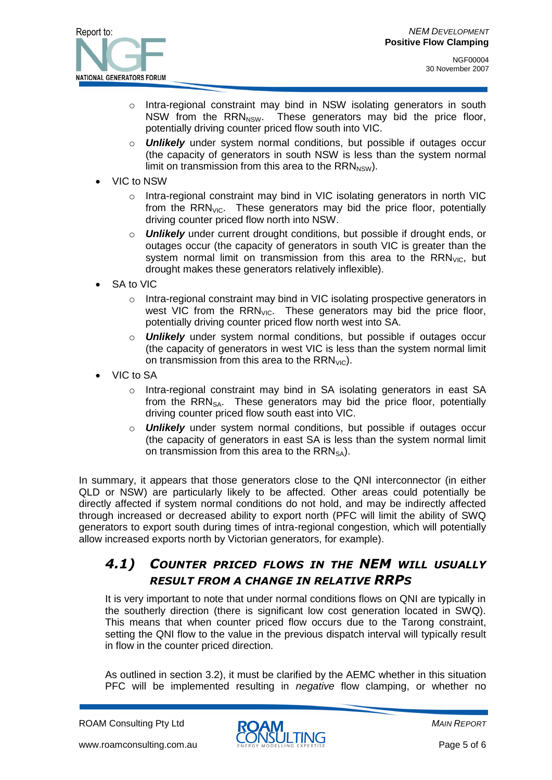

NGF00004 30 November 2007

- o Intra-regional constraint may bind in NSW isolating generators in south NSW from the  $RRN<sub>NSW</sub>$ . These generators may bid the price floor, potentially driving counter priced flow south into VIC.
- o *Unlikely* under system normal conditions, but possible if outages occur (the capacity of generators in south NSW is less than the system normal limit on transmission from this area to the  $RRN_{NSW}$ ).
- VIC to NSW
	- o Intra-regional constraint may bind in VIC isolating generators in north VIC from the  $RRN<sub>VC</sub>$ . These generators may bid the price floor, potentially driving counter priced flow north into NSW.
	- o *Unlikely* under current drought conditions, but possible if drought ends, or outages occur (the capacity of generators in south VIC is greater than the system normal limit on transmission from this area to the  $RRN<sub>VC</sub>$ , but drought makes these generators relatively inflexible).
- SA to VIC
	- o Intra-regional constraint may bind in VIC isolating prospective generators in west VIC from the  $RRN<sub>VC</sub>$ . These generators may bid the price floor, potentially driving counter priced flow north west into SA.
	- o *Unlikely* under system normal conditions, but possible if outages occur (the capacity of generators in west VIC is less than the system normal limit on transmission from this area to the  $RRN<sub>VC</sub>$ .
- VIC to SA
	- o Intra-regional constraint may bind in SA isolating generators in east SA from the  $RRN<sub>SA</sub>$ . These generators may bid the price floor, potentially driving counter priced flow south east into VIC.
	- o *Unlikely* under system normal conditions, but possible if outages occur (the capacity of generators in east SA is less than the system normal limit on transmission from this area to the  $RRN_{SA}$ ).

In summary, it appears that those generators close to the QNI interconnector (in either QLD or NSW) are particularly likely to be affected. Other areas could potentially be directly affected if system normal conditions do not hold, and may be indirectly affected through increased or decreased ability to export north (PFC will limit the ability of SWQ generators to export south during times of intra-regional congestion, which will potentially allow increased exports north by Victorian generators, for example).

#### *4.1) COUNTER PRICED FLOWS IN THE NEM WILL USUALLY RESULT FROM A CHANGE IN RELATIVE RRPS*

It is very important to note that under normal conditions flows on QNI are typically in the southerly direction (there is significant low cost generation located in SWQ). This means that when counter priced flow occurs due to the Tarong constraint, setting the QNI flow to the value in the previous dispatch interval will typically result in flow in the counter priced direction.

As outlined in section 3.2), it must be clarified by the AEMC whether in this situation PFC will be implemented resulting in *negative* flow clamping, or whether no